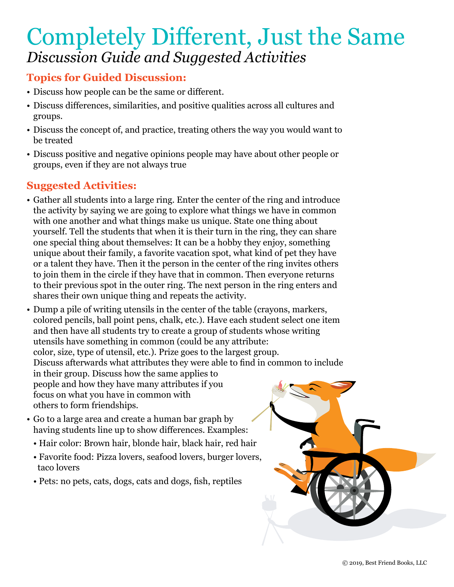# Completely Different, Just the Same *Discussion Guide and Suggested Activities*

#### **Topics for Guided Discussion:**

- Discuss how people can be the same or different.
- Discuss differences, similarities, and positive qualities across all cultures and groups.
- Discuss the concept of, and practice, treating others the way you would want to be treated
- Discuss positive and negative opinions people may have about other people or groups, even if they are not always true

- Gather all students into a large ring. Enter the center of the ring and introduce the activity by saying we are going to explore what things we have in common with one another and what things make us unique. State one thing about yourself. Tell the students that when it is their turn in the ring, they can share one special thing about themselves: It can be a hobby they enjoy, something unique about their family, a favorite vacation spot, what kind of pet they have or a talent they have. Then it the person in the center of the ring invites others to join them in the circle if they have that in common. Then everyone returns to their previous spot in the outer ring. The next person in the ring enters and shares their own unique thing and repeats the activity.
- Dump a pile of writing utensils in the center of the table (crayons, markers, colored pencils, ball point pens, chalk, etc.). Have each student select one item and then have all students try to create a group of students whose writing utensils have something in common (could be any attribute: color, size, type of utensil, etc.). Prize goes to the largest group. Discuss afterwards what attributes they were able to find in common to include in their group. Discuss how the same applies to people and how they have many attributes if you focus on what you have in common with others to form friendships.
- Go to a large area and create a human bar graph by having students line up to show differences. Examples:
	- Hair color: Brown hair, blonde hair, black hair, red hair
	- Favorite food: Pizza lovers, seafood lovers, burger lovers, taco lovers
	- Pets: no pets, cats, dogs, cats and dogs, fish, reptiles

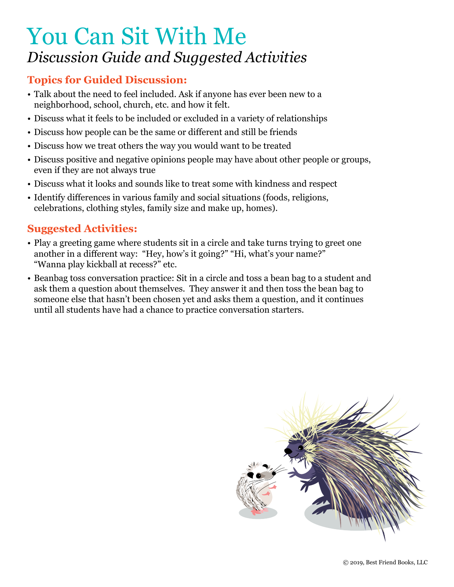# You Can Sit With Me *Discussion Guide and Suggested Activities*

#### **Topics for Guided Discussion:**

- Talk about the need to feel included. Ask if anyone has ever been new to a neighborhood, school, church, etc. and how it felt.
- Discuss what it feels to be included or excluded in a variety of relationships
- Discuss how people can be the same or different and still be friends
- Discuss how we treat others the way you would want to be treated
- Discuss positive and negative opinions people may have about other people or groups, even if they are not always true
- Discuss what it looks and sounds like to treat some with kindness and respect
- Identify differences in various family and social situations (foods, religions, celebrations, clothing styles, family size and make up, homes).

- Play a greeting game where students sit in a circle and take turns trying to greet one another in a different way: "Hey, how's it going?" "Hi, what's your name?" "Wanna play kickball at recess?" etc.
- Beanbag toss conversation practice: Sit in a circle and toss a bean bag to a student and ask them a question about themselves. They answer it and then toss the bean bag to someone else that hasn't been chosen yet and asks them a question, and it continues until all students have had a chance to practice conversation starters.

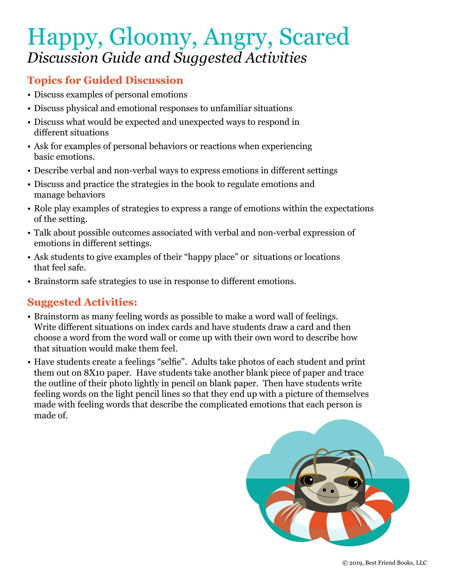# Happy, Gloomy, Angry, Scared *Discussion Guide and Suggested Activities*

#### **Topics for Guided Discussion**

- Discuss examples of personal emotions
- Discuss physical and emotional responses to unfamiliar situations
- Discuss what would be expected and unexpected ways to respond in different situations
- Ask for examples of personal behaviors or reactions when experiencing basic emotions.
- Describe verbal and non-verbal ways to express emotions in different settings
- Discuss and practice the strategies in the book to regulate emotions and manage behaviors
- Role play examples of strategies to express a range of emotions within the expectations of the setting.
- Talk about possible outcomes associated with verbal and non-verbal expression of emotions in different settings.
- Ask students to give examples of their "happy place" or situations or locations that feel safe.
- Brainstorm safe strategies to use in response to different emotions.

- Brainstorm as many feeling words as possible to make a word wall of feelings. Write different situations on index cards and have students draw a card and then choose a word from the word wall or come up with their own word to describe how that situation would make them feel.
- Have students create a feelings "selfie". Adults take photos of each student and print them out on 8X10 paper. Have students take another blank piece of paper and trace the outline of their photo lightly in pencil on blank paper. Then have students write feeling words on the light pencil lines so that they end up with a picture of themselves made with feeling words that describe the complicated emotions that each person is made of.

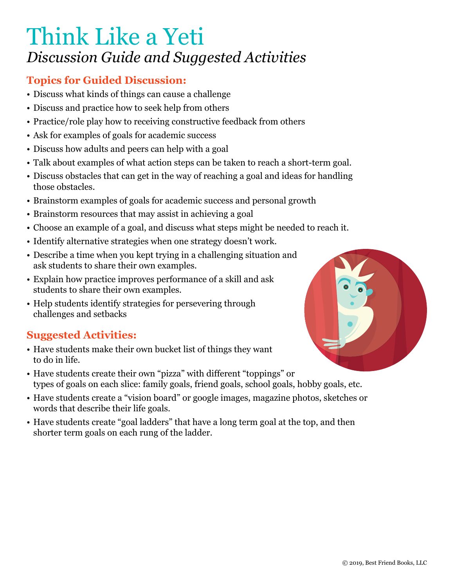# Think Like a Yeti *Discussion Guide and Suggested Activities*

## **Topics for Guided Discussion:**

- Discuss what kinds of things can cause a challenge
- Discuss and practice how to seek help from others
- Practice/role play how to receiving constructive feedback from others
- Ask for examples of goals for academic success
- Discuss how adults and peers can help with a goal
- Talk about examples of what action steps can be taken to reach a short-term goal.
- Discuss obstacles that can get in the way of reaching a goal and ideas for handling those obstacles.
- Brainstorm examples of goals for academic success and personal growth
- Brainstorm resources that may assist in achieving a goal
- Choose an example of a goal, and discuss what steps might be needed to reach it.
- Identify alternative strategies when one strategy doesn't work.
- Describe a time when you kept trying in a challenging situation and ask students to share their own examples.
- Explain how practice improves performance of a skill and ask students to share their own examples.
- Help students identify strategies for persevering through challenges and setbacks

- Have students make their own bucket list of things they want to do in life.
- Have students create their own "pizza" with different "toppings" or types of goals on each slice: family goals, friend goals, school goals, hobby goals, etc.
- Have students create a "vision board" or google images, magazine photos, sketches or words that describe their life goals.
- Have students create "goal ladders" that have a long term goal at the top, and then shorter term goals on each rung of the ladder.

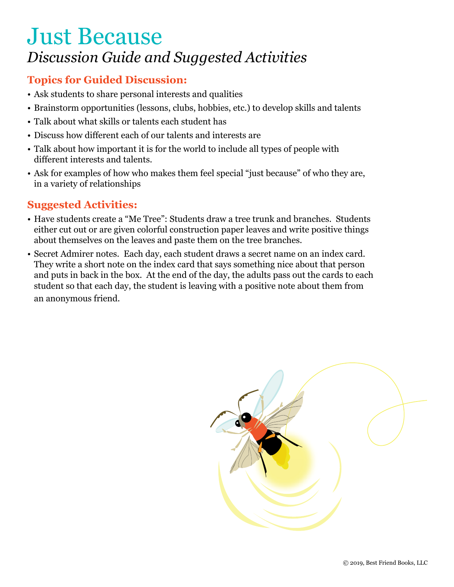## Just Because *Discussion Guide and Suggested Activities*

### **Topics for Guided Discussion:**

- Ask students to share personal interests and qualities
- Brainstorm opportunities (lessons, clubs, hobbies, etc.) to develop skills and talents
- Talk about what skills or talents each student has
- Discuss how different each of our talents and interests are
- Talk about how important it is for the world to include all types of people with different interests and talents.
- Ask for examples of how who makes them feel special "just because" of who they are, in a variety of relationships

- Have students create a "Me Tree": Students draw a tree trunk and branches. Students either cut out or are given colorful construction paper leaves and write positive things about themselves on the leaves and paste them on the tree branches.
- Secret Admirer notes. Each day, each student draws a secret name on an index card. They write a short note on the index card that says something nice about that person and puts in back in the box. At the end of the day, the adults pass out the cards to each student so that each day, the student is leaving with a positive note about them from an anonymous friend.

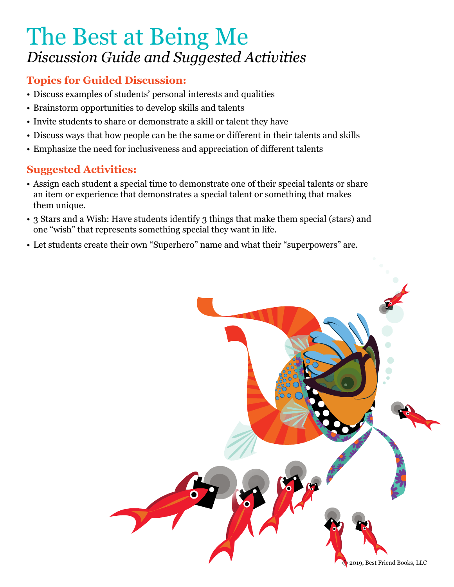# The Best at Being Me *Discussion Guide and Suggested Activities*

## **Topics for Guided Discussion:**

- Discuss examples of students' personal interests and qualities
- Brainstorm opportunities to develop skills and talents
- Invite students to share or demonstrate a skill or talent they have
- Discuss ways that how people can be the same or different in their talents and skills
- Emphasize the need for inclusiveness and appreciation of different talents

- Assign each student a special time to demonstrate one of their special talents or share an item or experience that demonstrates a special talent or something that makes them unique.
- 3 Stars and a Wish: Have students identify 3 things that make them special (stars) and one "wish" that represents something special they want in life.
- Let students create their own "Superhero" name and what their "superpowers" are.

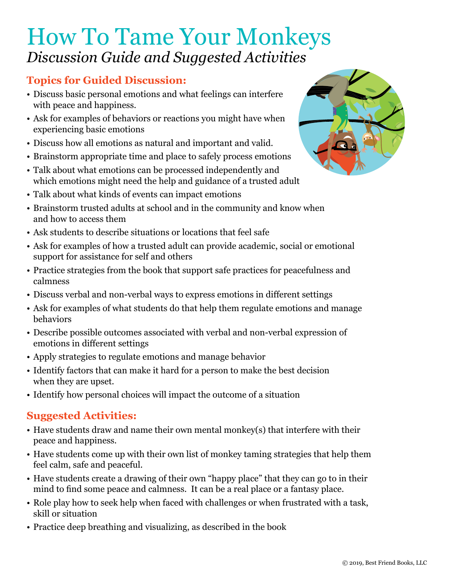# How To Tame Your Monkeys *Discussion Guide and Suggested Activities*

### **Topics for Guided Discussion:**

- Discuss basic personal emotions and what feelings can interfere with peace and happiness.
- Ask for examples of behaviors or reactions you might have when experiencing basic emotions
- Discuss how all emotions as natural and important and valid.
- Brainstorm appropriate time and place to safely process emotions
- Talk about what emotions can be processed independently and which emotions might need the help and guidance of a trusted adult
- Talk about what kinds of events can impact emotions
- Brainstorm trusted adults at school and in the community and know when and how to access them
- Ask students to describe situations or locations that feel safe
- Ask for examples of how a trusted adult can provide academic, social or emotional support for assistance for self and others
- Practice strategies from the book that support safe practices for peacefulness and calmness
- Discuss verbal and non-verbal ways to express emotions in different settings
- Ask for examples of what students do that help them regulate emotions and manage behaviors
- Describe possible outcomes associated with verbal and non-verbal expression of emotions in different settings
- Apply strategies to regulate emotions and manage behavior
- Identify factors that can make it hard for a person to make the best decision when they are upset.
- Identify how personal choices will impact the outcome of a situation

- Have students draw and name their own mental monkey(s) that interfere with their peace and happiness.
- Have students come up with their own list of monkey taming strategies that help them feel calm, safe and peaceful.
- Have students create a drawing of their own "happy place" that they can go to in their mind to find some peace and calmness. It can be a real place or a fantasy place.
- Role play how to seek help when faced with challenges or when frustrated with a task, skill or situation
- Practice deep breathing and visualizing, as described in the book

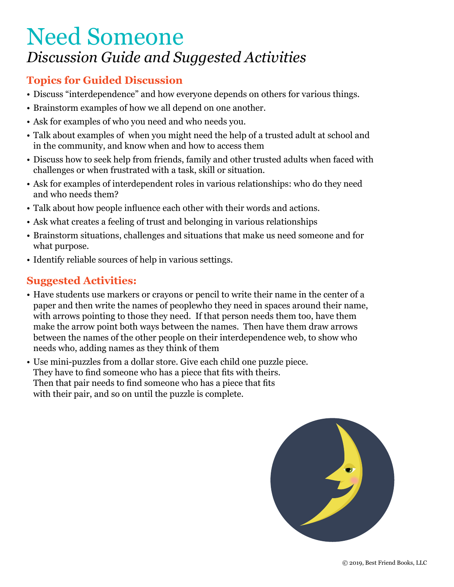## Need Someone *Discussion Guide and Suggested Activities*

### **Topics for Guided Discussion**

- Discuss "interdependence" and how everyone depends on others for various things.
- Brainstorm examples of how we all depend on one another.
- Ask for examples of who you need and who needs you.
- Talk about examples of when you might need the help of a trusted adult at school and in the community, and know when and how to access them
- Discuss how to seek help from friends, family and other trusted adults when faced with challenges or when frustrated with a task, skill or situation.
- Ask for examples of interdependent roles in various relationships: who do they need and who needs them?
- Talk about how people influence each other with their words and actions.
- Ask what creates a feeling of trust and belonging in various relationships
- Brainstorm situations, challenges and situations that make us need someone and for what purpose.
- Identify reliable sources of help in various settings.

- Have students use markers or crayons or pencil to write their name in the center of a paper and then write the names of peoplewho they need in spaces around their name, with arrows pointing to those they need. If that person needs them too, have them make the arrow point both ways between the names. Then have them draw arrows between the names of the other people on their interdependence web, to show who needs who, adding names as they think of them
- Use mini-puzzles from a dollar store. Give each child one puzzle piece. They have to find someone who has a piece that fits with theirs. Then that pair needs to find someone who has a piece that fits with their pair, and so on until the puzzle is complete.

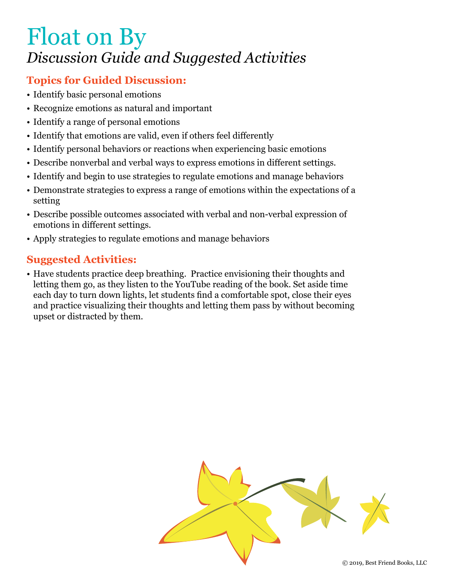# Float on By *Discussion Guide and Suggested Activities*

### **Topics for Guided Discussion:**

- Identify basic personal emotions
- Recognize emotions as natural and important
- Identify a range of personal emotions
- Identify that emotions are valid, even if others feel differently
- Identify personal behaviors or reactions when experiencing basic emotions
- Describe nonverbal and verbal ways to express emotions in different settings.
- Identify and begin to use strategies to regulate emotions and manage behaviors
- Demonstrate strategies to express a range of emotions within the expectations of a setting
- Describe possible outcomes associated with verbal and non-verbal expression of emotions in different settings.
- Apply strategies to regulate emotions and manage behaviors

### **Suggested Activities:**

• Have students practice deep breathing. Practice envisioning their thoughts and letting them go, as they listen to the YouTube reading of the book. Set aside time each day to turn down lights, let students find a comfortable spot, close their eyes and practice visualizing their thoughts and letting them pass by without becoming upset or distracted by them.

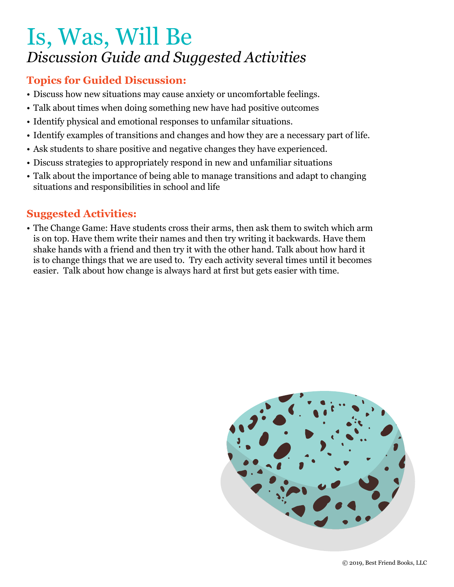# Is, Was, Will Be *Discussion Guide and Suggested Activities*

#### **Topics for Guided Discussion:**

- Discuss how new situations may cause anxiety or uncomfortable feelings.
- Talk about times when doing something new have had positive outcomes
- Identify physical and emotional responses to unfamilar situations.
- Identify examples of transitions and changes and how they are a necessary part of life.
- Ask students to share positive and negative changes they have experienced.
- Discuss strategies to appropriately respond in new and unfamiliar situations
- Talk about the importance of being able to manage transitions and adapt to changing situations and responsibilities in school and life

#### **Suggested Activities:**

• The Change Game: Have students cross their arms, then ask them to switch which arm is on top. Have them write their names and then try writing it backwards. Have them shake hands with a friend and then try it with the other hand. Talk about how hard it is to change things that we are used to. Try each activity several times until it becomes easier. Talk about how change is always hard at first but gets easier with time.

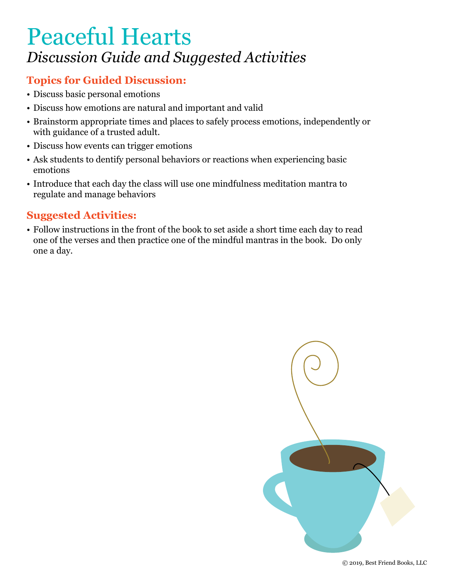# Peaceful Hearts *Discussion Guide and Suggested Activities*

## **Topics for Guided Discussion:**

- Discuss basic personal emotions
- Discuss how emotions are natural and important and valid
- Brainstorm appropriate times and places to safely process emotions, independently or with guidance of a trusted adult.
- Discuss how events can trigger emotions
- Ask students to dentify personal behaviors or reactions when experiencing basic emotions
- Introduce that each day the class will use one mindfulness meditation mantra to regulate and manage behaviors

#### **Suggested Activities:**

• Follow instructions in the front of the book to set aside a short time each day to read one of the verses and then practice one of the mindful mantras in the book. Do only one a day.

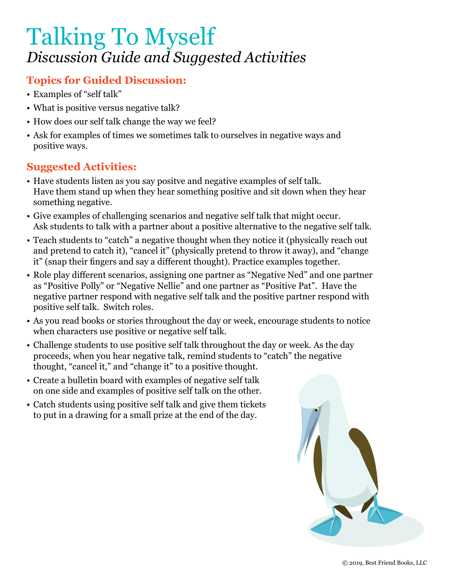# Talking To Myself *Discussion Guide and Suggested Activities*

## **Topics for Guided Discussion:**

- Examples of "self talk"
- What is positive versus negative talk?
- How does our self talk change the way we feel?
- Ask for examples of times we sometimes talk to ourselves in negative ways and positive ways.

- Have students listen as you say positve and negative examples of self talk. Have them stand up when they hear something positive and sit down when they hear something negative.
- Give examples of challenging scenarios and negative self talk that might occur. Ask students to talk with a partner about a positive alternative to the negative self talk.
- Teach students to "catch" a negative thought when they notice it (physically reach out and pretend to catch it), "cancel it" (physically pretend to throw it away), and "change it" (snap their fingers and say a different thought). Practice examples together.
- Role play different scenarios, assigning one partner as "Negative Ned" and one partner as "Positive Polly" or "Negative Nellie" and one partner as "Positive Pat". Have the negative partner respond with negative self talk and the positive partner respond with positive self talk. Switch roles.
- As you read books or stories throughout the day or week, encourage students to notice when characters use positive or negative self talk.
- Challenge students to use positive self talk throughout the day or week. As the day proceeds, when you hear negative talk, remind students to "catch" the negative thought, "cancel it," and "change it" to a positive thought.
- Create a bulletin board with examples of negative self talk on one side and examples of positive self talk on the other.
- Catch students using positive self talk and give them tickets to put in a drawing for a small prize at the end of the day.

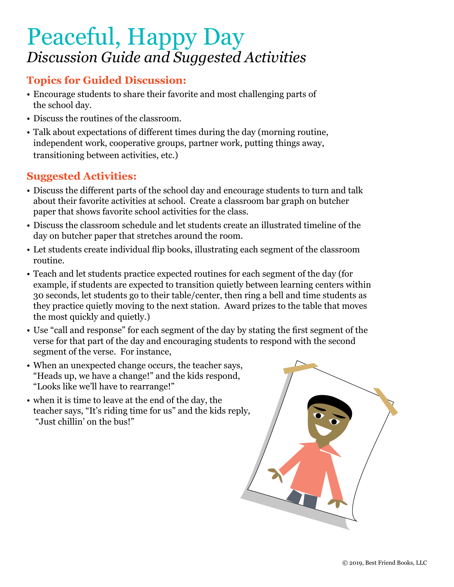# Peaceful, Happy Day *Discussion Guide and Suggested Activities*

### **Topics for Guided Discussion:**

- Encourage students to share their favorite and most challenging parts of the school day.
- Discuss the routines of the classroom.
- Talk about expectations of different times during the day (morning routine, independent work, cooperative groups, partner work, putting things away, transitioning between activities, etc.)

- Discuss the different parts of the school day and encourage students to turn and talk about their favorite activities at school. Create a classroom bar graph on butcher paper that shows favorite school activities for the class.
- Discuss the classroom schedule and let students create an illustrated timeline of the day on butcher paper that stretches around the room.
- Let students create individual flip books, illustrating each segment of the classroom routine.
- Teach and let students practice expected routines for each segment of the day (for example, if students are expected to transition quietly between learning centers within 30 seconds, let students go to their table/center, then ring a bell and time students as they practice quietly moving to the next station. Award prizes to the table that moves the most quickly and quietly.)
- Use "call and response" for each segment of the day by stating the first segment of the verse for that part of the day and encouraging students to respond with the second segment of the verse. For instance,
- When an unexpected change occurs, the teacher says, "Heads up, we have a change!" and the kids respond, "Looks like we'll have to rearrange!"
- when it is time to leave at the end of the day, the teacher says, "It's riding time for us" and the kids reply, "Just chillin' on the bus!"

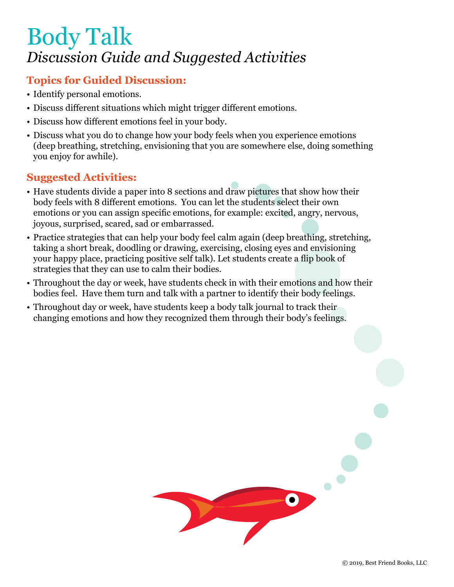# Body Talk *Discussion Guide and Suggested Activities*

#### **Topics for Guided Discussion:**

- Identify personal emotions.
- Discuss different situations which might trigger different emotions.
- Discuss how different emotions feel in your body.
- Discuss what you do to change how your body feels when you experience emotions (deep breathing, stretching, envisioning that you are somewhere else, doing something you enjoy for awhile).

- Have students divide a paper into 8 sections and draw pictures that show how their body feels with 8 different emotions. You can let the students select their own emotions or you can assign specific emotions, for example: excited, angry, nervous, joyous, surprised, scared, sad or embarrassed.
- Practice strategies that can help your body feel calm again (deep breathing, stretching, taking a short break, doodling or drawing, exercising, closing eyes and envisioning your happy place, practicing positive self talk). Let students create a flip book of strategies that they can use to calm their bodies.
- Throughout the day or week, have students check in with their emotions and how their bodies feel. Have them turn and talk with a partner to identify their body feelings.
- Throughout day or week, have students keep a body talk journal to track their changing emotions and how they recognized them through their body's feelings.

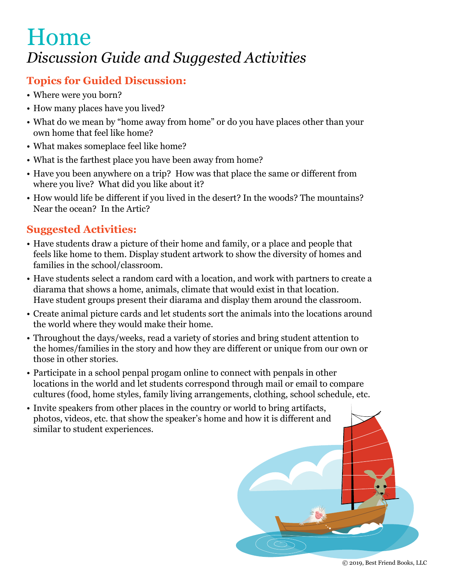## Home *Discussion Guide and Suggested Activities*

### **Topics for Guided Discussion:**

- Where were you born?
- How many places have you lived?
- What do we mean by "home away from home" or do you have places other than your own home that feel like home?
- What makes someplace feel like home?
- What is the farthest place you have been away from home?
- Have you been anywhere on a trip? How was that place the same or different from where you live? What did you like about it?
- How would life be different if you lived in the desert? In the woods? The mountains? Near the ocean? In the Artic?

- Have students draw a picture of their home and family, or a place and people that feels like home to them. Display student artwork to show the diversity of homes and families in the school/classroom.
- Have students select a random card with a location, and work with partners to create a diarama that shows a home, animals, climate that would exist in that location. Have student groups present their diarama and display them around the classroom.
- Create animal picture cards and let students sort the animals into the locations around the world where they would make their home.
- Throughout the days/weeks, read a variety of stories and bring student attention to the homes/families in the story and how they are different or unique from our own or those in other stories.
- Participate in a school penpal progam online to connect with penpals in other locations in the world and let students correspond through mail or email to compare cultures (food, home styles, family living arrangements, clothing, school schedule, etc.
- Invite speakers from other places in the country or world to bring artifacts, photos, videos, etc. that show the speaker's home and how it is different and similar to student experiences.